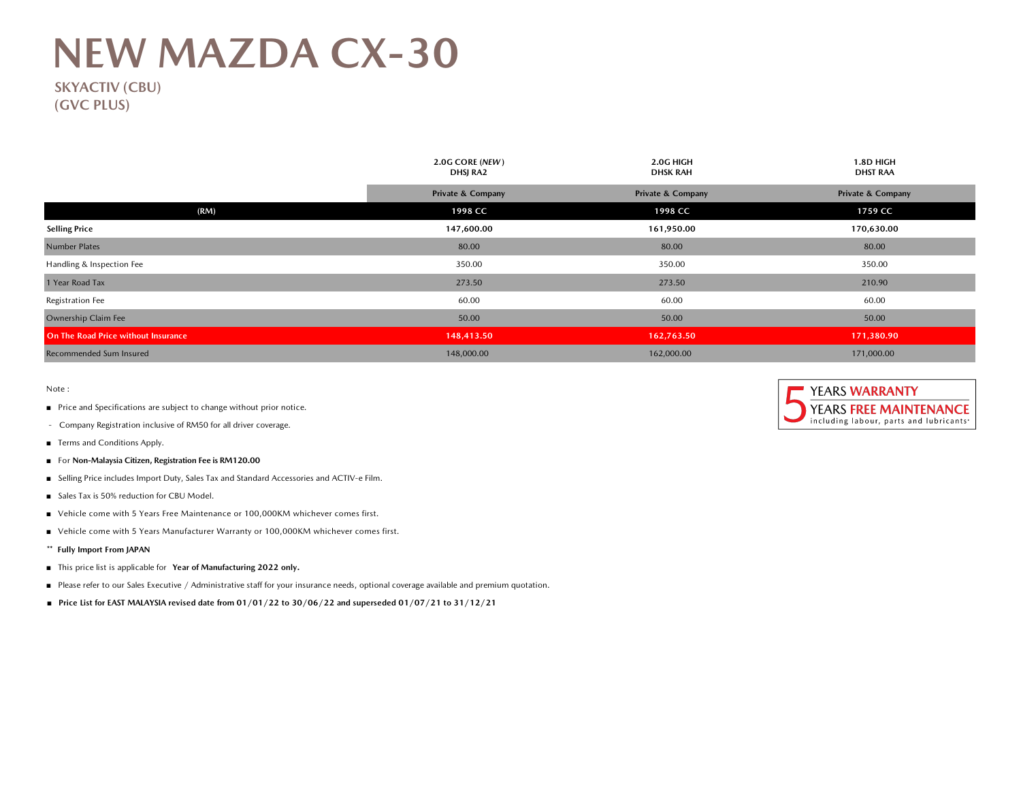## **NEW MAZDA CX-30**

## **SKYACTIV (CBU) (GVC PLUS)**

|                                     | 2.0G CORE (NEW)<br>DHSJ RA2  | 2.0G HIGH<br><b>DHSK RAH</b> | 1.8D HIGH<br><b>DHST RAA</b> |  |
|-------------------------------------|------------------------------|------------------------------|------------------------------|--|
|                                     | <b>Private &amp; Company</b> | <b>Private &amp; Company</b> | <b>Private &amp; Company</b> |  |
| (RM)                                | 1998 CC                      | 1998 CC                      | 1759 CC                      |  |
| <b>Selling Price</b>                | 147,600.00                   | 161,950.00                   | 170,630.00                   |  |
| <b>Number Plates</b>                | 80.00                        | 80.00                        | 80.00                        |  |
| Handling & Inspection Fee           | 350.00                       | 350.00                       | 350.00                       |  |
| 1 Year Road Tax                     | 273.50                       | 273.50                       | 210.90                       |  |
| Registration Fee                    | 60.00                        | 60.00                        | 60.00                        |  |
| Ownership Claim Fee                 | 50.00                        | 50.00                        | 50.00                        |  |
| On The Road Price without Insurance | 148,413.50                   | 162,763.50                   | 171,380.90                   |  |
| Recommended Sum Insured             | 148,000.00                   | 162,000.00                   | 171,000.00                   |  |

Note :

- Price and Specifications are subject to change without prior notice.
- Company Registration inclusive of RM50 for all driver coverage.
- Terms and Conditions Apply.
- For **Non-Malaysia Citizen, Registration Fee is RM120.00**
- Selling Price includes Import Duty, Sales Tax and Standard Accessories and ACTIV-e Film.
- Sales Tax is 50% reduction for CBU Model.
- Vehicle come with 5 Years Free Maintenance or 100,000KM whichever comes first.
- Vehicle come with 5 Years Manufacturer Warranty or 100,000KM whichever comes first.
- **\*\* Fully Import From JAPAN**
- This price list is applicable for **Year of Manufacturing 2022 only.**
- Please refer to our Sales Executive / Administrative staff for your insurance needs, optional coverage available and premium quotation.
- **■ Price List for EAST MALAYSIA revised date from 01/01/22 to 30/06/22 and superseded 01/07/21 to 31/12/21**

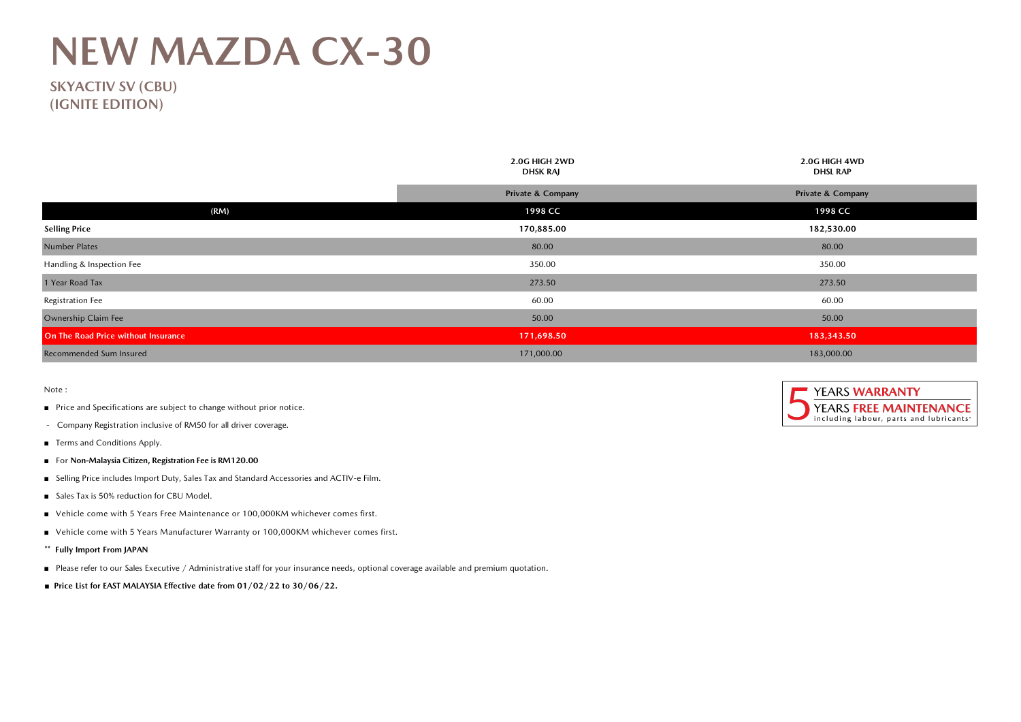## **NEW MAZDA CX-30**

**SKYACTIV SV (CBU) (IGNITE EDITION)**

|                                     | 2.0G HIGH 2WD<br><b>DHSK RAJ</b> | 2.0G HIGH 4WD<br><b>DHSL RAP</b> |  |
|-------------------------------------|----------------------------------|----------------------------------|--|
|                                     | <b>Private &amp; Company</b>     | <b>Private &amp; Company</b>     |  |
| (RM)                                | 1998 CC                          | 1998 CC                          |  |
| <b>Selling Price</b>                | 170,885.00                       | 182,530.00                       |  |
| <b>Number Plates</b>                | 80.00                            | 80.00                            |  |
| Handling & Inspection Fee           | 350.00                           | 350.00                           |  |
| 1 Year Road Tax                     | 273.50                           | 273.50                           |  |
| Registration Fee                    | 60.00                            | 60.00                            |  |
| Ownership Claim Fee                 | 50.00                            | 50.00                            |  |
| On The Road Price without Insurance | 171,698.50                       | 183,343.50                       |  |
| Recommended Sum Insured             | 171,000.00                       | 183,000.00                       |  |

Note :

- Price and Specifications are subject to change without prior notice.
- Company Registration inclusive of RM50 for all driver coverage.
- Terms and Conditions Apply.
- For **Non-Malaysia Citizen, Registration Fee is RM120.00**
- Selling Price includes Import Duty, Sales Tax and Standard Accessories and ACTIV-e Film.
- Sales Tax is 50% reduction for CBU Model.
- Vehicle come with 5 Years Free Maintenance or 100,000KM whichever comes first.
- Vehicle come with 5 Years Manufacturer Warranty or 100,000KM whichever comes first.
- **\*\* Fully Import From JAPAN**
- Please refer to our Sales Executive / Administrative staff for your insurance needs, optional coverage available and premium quotation.
- **■ Price List for EAST MALAYSIA Effective date from 01/02/22 to 30/06/22.**